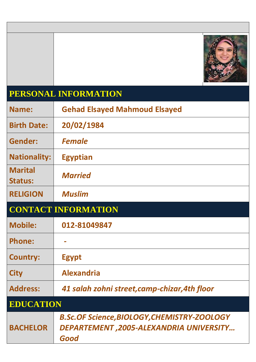

## **PERSONAL INFORMATION**

| Name:                            | <b>Gehad Elsayed Mahmoud Elsayed</b>                                                                  |
|----------------------------------|-------------------------------------------------------------------------------------------------------|
| <b>Birth Date:</b>               | 20/02/1984                                                                                            |
| Gender:                          | <b>Female</b>                                                                                         |
| <b>Nationality:</b>              | <b>Egyptian</b>                                                                                       |
| <b>Marital</b><br><b>Status:</b> | <b>Married</b>                                                                                        |
| <b>RELIGION</b>                  | <b>Muslim</b>                                                                                         |
|                                  | <b>CONTACT INFORMATION</b>                                                                            |
| <b>Mobile:</b>                   | 012-81049847                                                                                          |
| <b>Phone:</b>                    |                                                                                                       |
| <b>Country:</b>                  | <b>Egypt</b>                                                                                          |
| <b>City</b>                      | <b>Alexandria</b>                                                                                     |
| <b>Address:</b>                  | 41 salah zohni street,camp-chizar,4th floor                                                           |
| <b>EDUCATION</b>                 |                                                                                                       |
| <b>BACHELOR</b>                  | <b>B.Sc.OF Science, BIOLOGY, CHEMISTRY-ZOOLOGY</b><br>DEPARTEMENT, 2005-ALEXANDRIA UNIVERSITY<br>Good |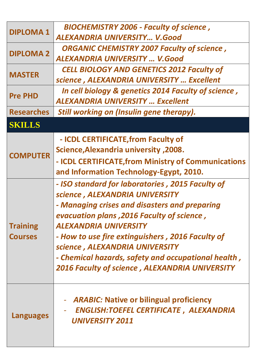| <b>DIPLOMA1</b>                   | <b>BIOCHEMISTRY 2006 - Faculty of science,</b><br>ALEXANDRIA UNIVERSITY V.Good                                                                                                                                                                                                                                                                                                                                          |
|-----------------------------------|-------------------------------------------------------------------------------------------------------------------------------------------------------------------------------------------------------------------------------------------------------------------------------------------------------------------------------------------------------------------------------------------------------------------------|
| <b>DIPLOMA 2</b>                  | <b>ORGANIC CHEMISTRY 2007 Faculty of science,</b><br><b>ALEXANDRIA UNIVERSITY  V.Good</b>                                                                                                                                                                                                                                                                                                                               |
| <b>MASTER</b>                     | <b>CELL BIOLOGY AND GENETICS 2012 Faculty of</b><br>science, ALEXANDRIA UNIVERSITY  Excellent                                                                                                                                                                                                                                                                                                                           |
| <b>Pre PHD</b>                    | In cell biology & genetics 2014 Faculty of science,<br><b>ALEXANDRIA UNIVERSITY  Excellent</b>                                                                                                                                                                                                                                                                                                                          |
| <b>Researches</b>                 | <b>Still working on (Insulin gene therapy).</b>                                                                                                                                                                                                                                                                                                                                                                         |
| <b>SKILLS</b>                     |                                                                                                                                                                                                                                                                                                                                                                                                                         |
| <b>COMPUTER</b>                   | - ICDL CERTIFICATE, from Faculty of<br><b>Science, Alexandria university, 2008.</b><br>- ICDL CERTIFICATE, from Ministry of Communications<br>and Information Technology-Egypt, 2010.                                                                                                                                                                                                                                   |
| <b>Training</b><br><b>Courses</b> | - ISO standard for laboratories, 2015 Faculty of<br>science, ALEXANDRIA UNIVERSITY<br>- Managing crises and disasters and preparing<br>evacuation plans, 2016 Faculty of science,<br><b>ALEXANDRIA UNIVERSITY</b><br>- How to use fire extinguishers, 2016 Faculty of<br>science, ALEXANDRIA UNIVERSITY<br>- Chemical hazards, safety and occupational health,<br><b>2016 Faculty of science, ALEXANDRIA UNIVERSITY</b> |
| <b>Languages</b>                  | <b>ARABIC:</b> Native or bilingual proficiency<br><b>ENGLISH:TOEFEL CERTIFICATE, ALEXANDRIA</b><br><b>UNIVERSITY 2011</b>                                                                                                                                                                                                                                                                                               |